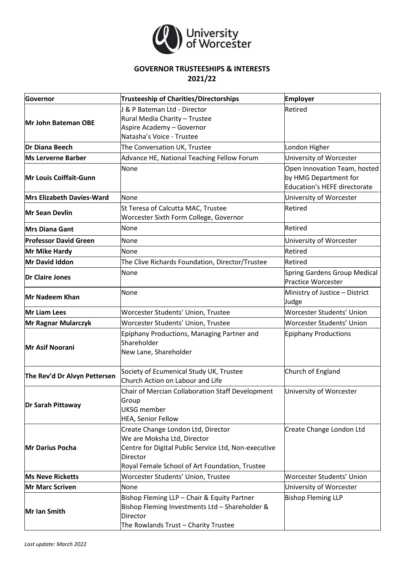

## **GOVERNOR TRUSTEESHIPS & INTERESTS 2021/22**

| <b>Governor</b>                  | <b>Trusteeship of Charities/Directorships</b>                                                                                                                                           | <b>Employer</b>                                                                       |
|----------------------------------|-----------------------------------------------------------------------------------------------------------------------------------------------------------------------------------------|---------------------------------------------------------------------------------------|
| Mr John Bateman OBE              | J & P Bateman Ltd - Director<br>Rural Media Charity - Trustee<br>Aspire Academy - Governor<br>Natasha's Voice - Trustee                                                                 | Retired                                                                               |
| Dr Diana Beech                   | The Conversation UK, Trustee                                                                                                                                                            | London Higher                                                                         |
| <b>Ms Lerverne Barber</b>        | Advance HE, National Teaching Fellow Forum                                                                                                                                              | University of Worcester                                                               |
| Mr Louis Coiffait-Gunn           | None                                                                                                                                                                                    | Open Innovation Team, hosted<br>by HMG Department for<br>Education's HEFE directorate |
| <b>Mrs Elizabeth Davies-Ward</b> | None                                                                                                                                                                                    | University of Worcester                                                               |
| Mr Sean Devlin                   | St Teresa of Calcutta MAC, Trustee<br>Worcester Sixth Form College, Governor                                                                                                            | Retired                                                                               |
| <b>Mrs Diana Gant</b>            | None                                                                                                                                                                                    | Retired                                                                               |
| <b>Professor David Green</b>     | None                                                                                                                                                                                    | University of Worcester                                                               |
| Mr Mike Hardy                    | None                                                                                                                                                                                    | Retired                                                                               |
| Mr David Iddon                   | The Clive Richards Foundation, Director/Trustee                                                                                                                                         | Retired                                                                               |
| <b>Dr Claire Jones</b>           | None                                                                                                                                                                                    | Spring Gardens Group Medical<br><b>Practice Worcester</b>                             |
| Mr Nadeem Khan                   | None                                                                                                                                                                                    | Ministry of Justice - District<br>Judge                                               |
| Mr Liam Lees                     | Worcester Students' Union, Trustee                                                                                                                                                      | <b>Worcester Students' Union</b>                                                      |
| Mr Ragnar Mularczyk              | Worcester Students' Union, Trustee                                                                                                                                                      | Worcester Students' Union                                                             |
| Mr Asif Noorani                  | Epiphany Productions, Managing Partner and<br>Shareholder<br>New Lane, Shareholder                                                                                                      | <b>Epiphany Productions</b>                                                           |
| The Rev'd Dr Alvyn Pettersen     | Society of Ecumenical Study UK, Trustee<br>Church Action on Labour and Life                                                                                                             | Church of England                                                                     |
| Dr Sarah Pittaway                | Chair of Mercian Collaboration Staff Development<br>Group<br><b>UKSG</b> member<br>HEA, Senior Fellow                                                                                   | University of Worcester                                                               |
| <b>Mr Darius Pocha</b>           | Create Change London Ltd, Director<br>We are Moksha Ltd, Director<br>Centre for Digital Public Service Ltd, Non-executive<br>Director<br>Royal Female School of Art Foundation, Trustee | Create Change London Ltd                                                              |
| <b>Ms Neve Ricketts</b>          | Worcester Students' Union, Trustee                                                                                                                                                      | <b>Worcester Students' Union</b>                                                      |
| Mr Marc Scriven                  | None                                                                                                                                                                                    | University of Worcester                                                               |
| Mr Ian Smith                     | Bishop Fleming LLP - Chair & Equity Partner<br>Bishop Fleming Investments Ltd - Shareholder &<br>Director<br>The Rowlands Trust - Charity Trustee                                       | <b>Bishop Fleming LLP</b>                                                             |